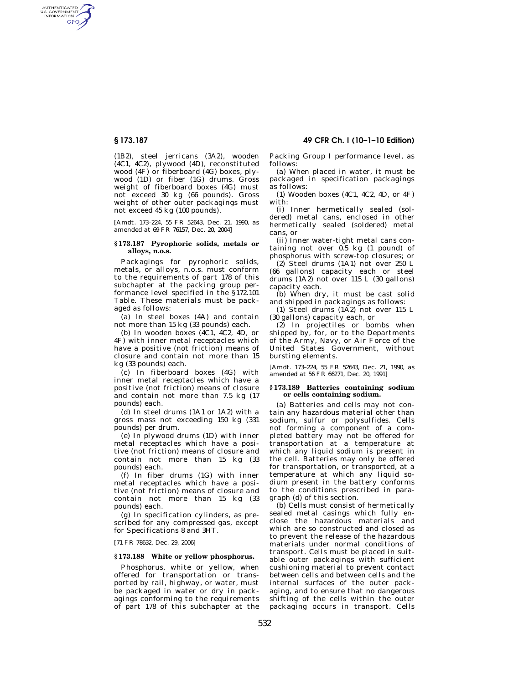# **§ 173.187 49 CFR Ch. I (10–1–10 Edition)**

AUTHENTICATED<br>U.S. GOVERNMENT<br>INFORMATION **GPO** 

> (1B2), steel jerricans (3A2), wooden (4C1, 4C2), plywood (4D), reconstituted wood (4F) or fiberboard (4G) boxes, plywood (1D) or fiber (1G) drums. Gross weight of fiberboard boxes (4G) must not exceed 30 kg (66 pounds). Gross weight of other outer packagings must not exceed 45 kg (100 pounds).

> [Amdt. 173–224, 55 FR 52643, Dec. 21, 1990, as amended at 69 FR 76157, Dec. 20, 2004]

#### **§ 173.187 Pyrophoric solids, metals or alloys, n.o.s.**

Packagings for pyrophoric solids, metals, or alloys, n.o.s. must conform to the requirements of part 178 of this subchapter at the packing group performance level specified in the §172.101 Table. These materials must be packaged as follows:

(a) In steel boxes (4A) and contain not more than 15 kg (33 pounds) each.

(b) In wooden boxes (4C1, 4C2, 4D, or 4F) with inner metal receptacles which have a positive (not friction) means of closure and contain not more than 15 kg (33 pounds) each.

(c) In fiberboard boxes (4G) with inner metal receptacles which have a positive (not friction) means of closure and contain not more than 7.5 kg (17 pounds) each.

(d) In steel drums (1A1 or 1A2) with a gross mass not exceeding 150 kg (331 pounds) per drum.

(e) In plywood drums (1D) with inner metal receptacles which have a positive (not friction) means of closure and contain not more than 15 kg (33 pounds) each.

(f) In fiber drums (1G) with inner metal receptacles which have a positive (not friction) means of closure and contain not more than 15 kg (33 pounds) each.

(g) In specification cylinders, as prescribed for any compressed gas, except for Specifications 8 and 3HT.

[71 FR 78632, Dec. 29, 2006]

#### **§ 173.188 White or yellow phosphorus.**

Phosphorus, white or yellow, when offered for transportation or transported by rail, highway, or water, must be packaged in water or dry in packagings conforming to the requirements of part 178 of this subchapter at the Packing Group I performance level, as follows:

(a) When placed in water, it must be packaged in specification packagings as follows:

(1) Wooden boxes (4C1, 4C2, 4D, or 4F) with:

(i) Inner hermetically sealed (soldered) metal cans, enclosed in other hermetically sealed (soldered) metal cans, or

(ii) Inner water-tight metal cans containing not over  $0.5$  kg  $(1 \text{ pound})$  of phosphorus with screw-top closures; or

(2) Steel drums (1A1) not over 250 L (66 gallons) capacity each or steel drums (1A2) not over 115 L (30 gallons) capacity each.

(b) When dry, it must be cast solid and shipped in packagings as follows:

(1) Steel drums  $(1\overline{A}2)$  not over 115 L (30 gallons) capacity each, or

(2) In projectiles or bombs when shipped by, for, or to the Departments of the Army, Navy, or Air Force of the United States Government, without bursting elements.

[Amdt. 173–224, 55 FR 52643, Dec. 21, 1990, as amended at 56 FR 66271, Dec. 20, 1991]

## **§ 173.189 Batteries containing sodium or cells containing sodium.**

(a) Batteries and cells may not contain any hazardous material other than sodium, sulfur or polysulfides. Cells not forming a component of a completed battery may not be offered for transportation at a temperature at which any liquid sodium is present in the cell. Batteries may only be offered for transportation, or transported, at a temperature at which any liquid sodium present in the battery conforms to the conditions prescribed in paragraph (d) of this section.

(b) Cells must consist of hermetically sealed metal casings which fully enclose the hazardous materials and which are so constructed and closed as to prevent the release of the hazardous materials under normal conditions of transport. Cells must be placed in suitable outer packagings with sufficient cushioning material to prevent contact between cells and between cells and the internal surfaces of the outer packaging, and to ensure that no dangerous shifting of the cells within the outer packaging occurs in transport. Cells